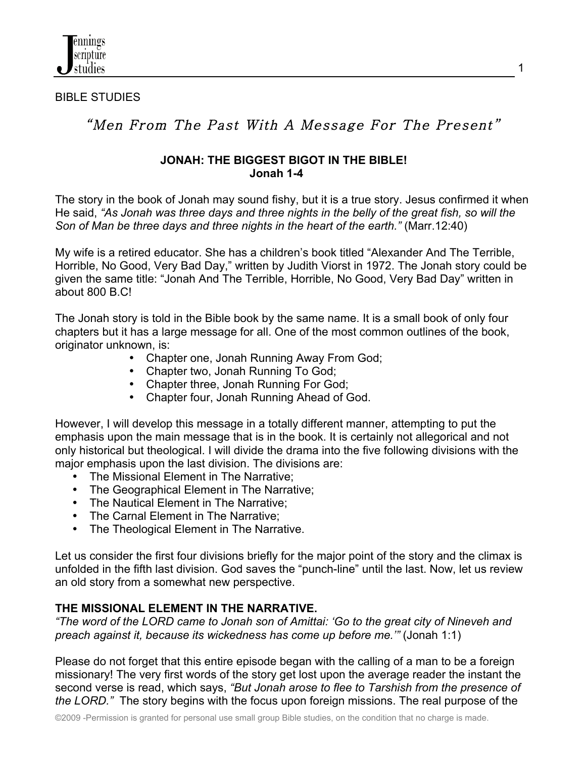

#### BIBLE STUDIES

# "Men From The Past With A Message For The Present"

#### **JONAH: THE BIGGEST BIGOT IN THE BIBLE! Jonah 1-4**

The story in the book of Jonah may sound fishy, but it is a true story. Jesus confirmed it when He said, *"As Jonah was three days and three nights in the belly of the great fish, so will the Son of Man be three days and three nights in the heart of the earth."* (Marr.12:40)

My wife is a retired educator. She has a children's book titled "Alexander And The Terrible, Horrible, No Good, Very Bad Day," written by Judith Viorst in 1972. The Jonah story could be given the same title: "Jonah And The Terrible, Horrible, No Good, Very Bad Day" written in about 800 B.C!

The Jonah story is told in the Bible book by the same name. It is a small book of only four chapters but it has a large message for all. One of the most common outlines of the book, originator unknown, is:

- Chapter one, Jonah Running Away From God;
- Chapter two, Jonah Running To God;
- Chapter three, Jonah Running For God;
- Chapter four, Jonah Running Ahead of God.

However, I will develop this message in a totally different manner, attempting to put the emphasis upon the main message that is in the book. It is certainly not allegorical and not only historical but theological. I will divide the drama into the five following divisions with the major emphasis upon the last division. The divisions are:

- The Missional Element in The Narrative;
- The Geographical Element in The Narrative;
- The Nautical Element in The Narrative;
- The Carnal Element in The Narrative;
- The Theological Element in The Narrative.

Let us consider the first four divisions briefly for the major point of the story and the climax is unfolded in the fifth last division. God saves the "punch-line" until the last. Now, let us review an old story from a somewhat new perspective.

## **THE MISSIONAL ELEMENT IN THE NARRATIVE.**

*"The word of the LORD came to Jonah son of Amittai: 'Go to the great city of Nineveh and preach against it, because its wickedness has come up before me.'"* (Jonah 1:1)

Please do not forget that this entire episode began with the calling of a man to be a foreign missionary! The very first words of the story get lost upon the average reader the instant the second verse is read, which says, *"But Jonah arose to flee to Tarshish from the presence of the LORD."* The story begins with the focus upon foreign missions. The real purpose of the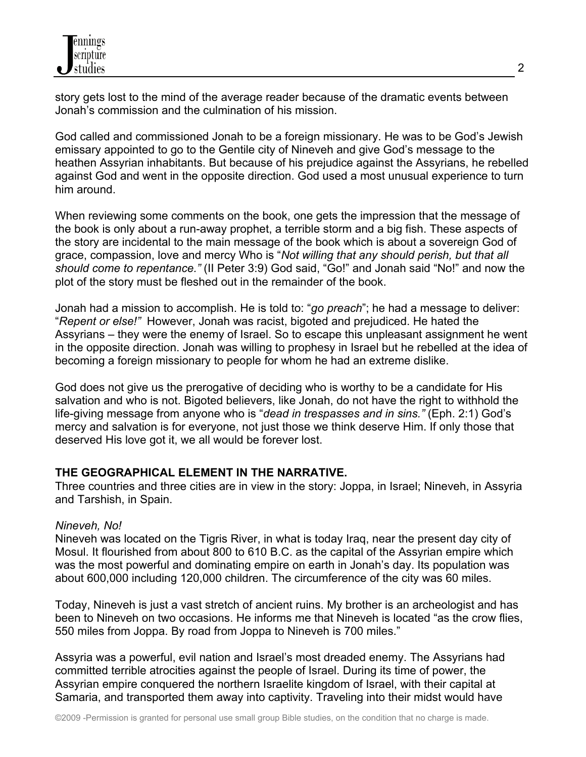story gets lost to the mind of the average reader because of the dramatic events between Jonah's commission and the culmination of his mission.

God called and commissioned Jonah to be a foreign missionary. He was to be God's Jewish emissary appointed to go to the Gentile city of Nineveh and give God's message to the heathen Assyrian inhabitants. But because of his prejudice against the Assyrians, he rebelled against God and went in the opposite direction. God used a most unusual experience to turn him around.

When reviewing some comments on the book, one gets the impression that the message of the book is only about a run-away prophet, a terrible storm and a big fish. These aspects of the story are incidental to the main message of the book which is about a sovereign God of grace, compassion, love and mercy Who is "*Not willing that any should perish, but that all should come to repentance."* (II Peter 3:9) God said, "Go!" and Jonah said "No!" and now the plot of the story must be fleshed out in the remainder of the book.

Jonah had a mission to accomplish. He is told to: "*go preach*"; he had a message to deliver: "*Repent or else!"* However, Jonah was racist, bigoted and prejudiced. He hated the Assyrians – they were the enemy of Israel. So to escape this unpleasant assignment he went in the opposite direction. Jonah was willing to prophesy in Israel but he rebelled at the idea of becoming a foreign missionary to people for whom he had an extreme dislike.

God does not give us the prerogative of deciding who is worthy to be a candidate for His salvation and who is not. Bigoted believers, like Jonah, do not have the right to withhold the life-giving message from anyone who is "*dead in trespasses and in sins."* (Eph. 2:1) God's mercy and salvation is for everyone, not just those we think deserve Him. If only those that deserved His love got it, we all would be forever lost.

## **THE GEOGRAPHICAL ELEMENT IN THE NARRATIVE.**

Three countries and three cities are in view in the story: Joppa, in Israel; Nineveh, in Assyria and Tarshish, in Spain.

#### *Nineveh, No!*

Nineveh was located on the Tigris River, in what is today Iraq, near the present day city of Mosul. It flourished from about 800 to 610 B.C. as the capital of the Assyrian empire which was the most powerful and dominating empire on earth in Jonah's day. Its population was about 600,000 including 120,000 children. The circumference of the city was 60 miles.

Today, Nineveh is just a vast stretch of ancient ruins. My brother is an archeologist and has been to Nineveh on two occasions. He informs me that Nineveh is located "as the crow flies, 550 miles from Joppa. By road from Joppa to Nineveh is 700 miles."

Assyria was a powerful, evil nation and Israel's most dreaded enemy. The Assyrians had committed terrible atrocities against the people of Israel. During its time of power, the Assyrian empire conquered the northern Israelite kingdom of Israel, with their capital at Samaria, and transported them away into captivity. Traveling into their midst would have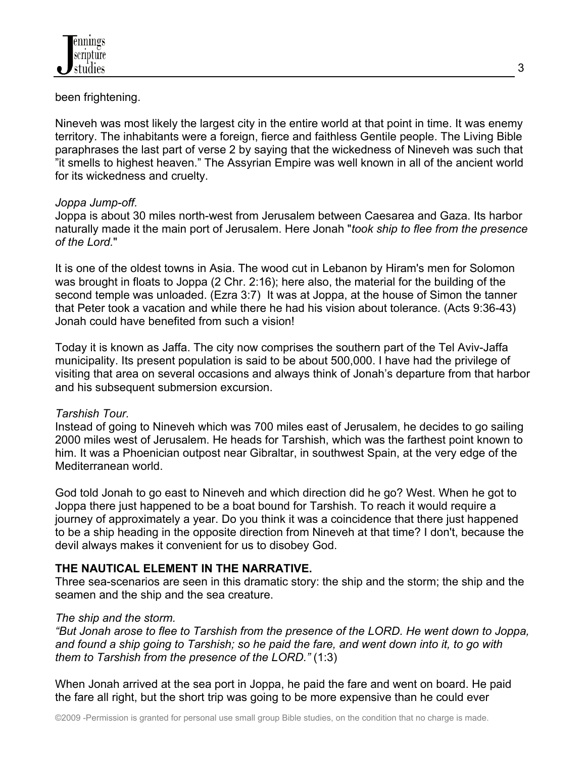been frightening.

Nineveh was most likely the largest city in the entire world at that point in time. It was enemy territory. The inhabitants were a foreign, fierce and faithless Gentile people. The Living Bible paraphrases the last part of verse 2 by saying that the wickedness of Nineveh was such that "it smells to highest heaven." The Assyrian Empire was well known in all of the ancient world for its wickedness and cruelty.

## *Joppa Jump-off.*

Joppa is about 30 miles north-west from Jerusalem between Caesarea and Gaza. Its harbor naturally made it the main port of Jerusalem. Here Jonah "*took ship to flee from the presence of the Lord.*"

It is one of the oldest towns in Asia. The wood cut in Lebanon by Hiram's men for Solomon was brought in floats to Joppa (2 Chr. 2:16); here also, the material for the building of the second temple was unloaded. (Ezra 3:7) It was at Joppa, at the house of Simon the tanner that Peter took a vacation and while there he had his vision about tolerance. (Acts 9:36-43) Jonah could have benefited from such a vision!

Today it is known as Jaffa. The city now comprises the southern part of the Tel Aviv-Jaffa municipality. Its present population is said to be about 500,000. I have had the privilege of visiting that area on several occasions and always think of Jonah's departure from that harbor and his subsequent submersion excursion.

## *Tarshish Tour.*

Instead of going to Nineveh which was 700 miles east of Jerusalem, he decides to go sailing 2000 miles west of Jerusalem. He heads for Tarshish, which was the farthest point known to him. It was a Phoenician outpost near Gibraltar, in southwest Spain, at the very edge of the Mediterranean world.

God told Jonah to go east to Nineveh and which direction did he go? West. When he got to Joppa there just happened to be a boat bound for Tarshish. To reach it would require a journey of approximately a year. Do you think it was a coincidence that there just happened to be a ship heading in the opposite direction from Nineveh at that time? I don't, because the devil always makes it convenient for us to disobey God.

## **THE NAUTICAL ELEMENT IN THE NARRATIVE.**

Three sea-scenarios are seen in this dramatic story: the ship and the storm; the ship and the seamen and the ship and the sea creature.

## *The ship and the storm.*

*"But Jonah arose to flee to Tarshish from the presence of the LORD. He went down to Joppa, and found a ship going to Tarshish; so he paid the fare, and went down into it, to go with them to Tarshish from the presence of the LORD."* (1:3)

When Jonah arrived at the sea port in Joppa, he paid the fare and went on board. He paid the fare all right, but the short trip was going to be more expensive than he could ever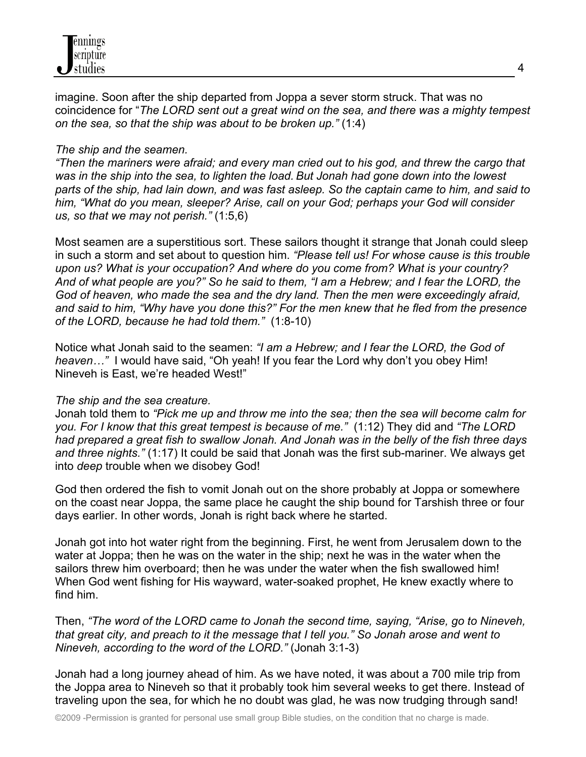

imagine. Soon after the ship departed from Joppa a sever storm struck. That was no coincidence for "*The LORD sent out a great wind on the sea, and there was a mighty tempest on the sea, so that the ship was about to be broken up."* (1:4)

#### *The ship and the seamen.*

*"Then the mariners were afraid; and every man cried out to his god, and threw the cargo that was in the ship into the sea, to lighten the load. But Jonah had gone down into the lowest parts of the ship, had lain down, and was fast asleep. So the captain came to him, and said to him, "What do you mean, sleeper? Arise, call on your God; perhaps your God will consider us, so that we may not perish."* (1:5,6)

Most seamen are a superstitious sort. These sailors thought it strange that Jonah could sleep in such a storm and set about to question him. *"Please tell us! For whose cause is this trouble upon us? What is your occupation? And where do you come from? What is your country? And of what people are you?" So he said to them, "I am a Hebrew; and I fear the LORD, the God of heaven, who made the sea and the dry land. Then the men were exceedingly afraid, and said to him, "Why have you done this?" For the men knew that he fled from the presence of the LORD, because he had told them."* (1:8-10)

Notice what Jonah said to the seamen: *"I am a Hebrew; and I fear the LORD, the God of heaven…"* I would have said, "Oh yeah! If you fear the Lord why don't you obey Him! Nineveh is East, we're headed West!"

#### *The ship and the sea creature.*

Jonah told them to *"Pick me up and throw me into the sea; then the sea will become calm for you. For I know that this great tempest is because of me."* (1:12) They did and *"The LORD had prepared a great fish to swallow Jonah. And Jonah was in the belly of the fish three days and three nights."* (1:17) It could be said that Jonah was the first sub-mariner. We always get into *deep* trouble when we disobey God!

God then ordered the fish to vomit Jonah out on the shore probably at Joppa or somewhere on the coast near Joppa, the same place he caught the ship bound for Tarshish three or four days earlier. In other words, Jonah is right back where he started.

Jonah got into hot water right from the beginning. First, he went from Jerusalem down to the water at Joppa; then he was on the water in the ship; next he was in the water when the sailors threw him overboard; then he was under the water when the fish swallowed him! When God went fishing for His wayward, water-soaked prophet, He knew exactly where to find him.

Then, *"The word of the LORD came to Jonah the second time, saying, "Arise, go to Nineveh, that great city, and preach to it the message that I tell you." So Jonah arose and went to Nineveh, according to the word of the LORD."* (Jonah 3:1-3)

Jonah had a long journey ahead of him. As we have noted, it was about a 700 mile trip from the Joppa area to Nineveh so that it probably took him several weeks to get there. Instead of traveling upon the sea, for which he no doubt was glad, he was now trudging through sand!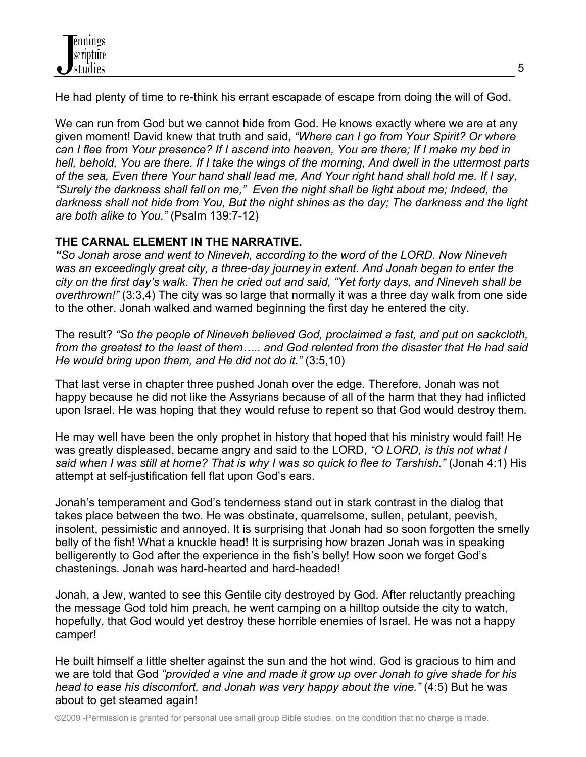He had plenty of time to re-think his errant escapade of escape from doing the will of God.

We can run from God but we cannot hide from God. He knows exactly where we are at any given moment! David knew that truth and said, *"Where can I go from Your Spirit? Or where can I flee from Your presence? If I ascend into heaven, You are there; If I make my bed in hell, behold, You are there. If I take the wings of the morning, And dwell in the uttermost parts of the sea, Even there Your hand shall lead me, And Your right hand shall hold me. If I say, "Surely the darkness shall fall on me," Even the night shall be light about me; Indeed, the darkness shall not hide from You, But the night shines as the day; The darkness and the light are both alike to You."* (Psalm 139:7-12)

## **THE CARNAL ELEMENT IN THE NARRATIVE.**

*"So Jonah arose and went to Nineveh, according to the word of the LORD. Now Nineveh was an exceedingly great city, a three-day journey in extent. And Jonah began to enter the city on the first day's walk. Then he cried out and said, "Yet forty days, and Nineveh shall be overthrown!"* (3:3,4) The city was so large that normally it was a three day walk from one side to the other. Jonah walked and warned beginning the first day he entered the city.

The result? *"So the people of Nineveh believed God, proclaimed a fast, and put on sackcloth, from the greatest to the least of them….. and God relented from the disaster that He had said He would bring upon them, and He did not do it."* (3:5,10)

That last verse in chapter three pushed Jonah over the edge. Therefore, Jonah was not happy because he did not like the Assyrians because of all of the harm that they had inflicted upon Israel. He was hoping that they would refuse to repent so that God would destroy them.

He may well have been the only prophet in history that hoped that his ministry would fail! He was greatly displeased, became angry and said to the LORD, *"O LORD, is this not what I said when I was still at home? That is why I was so quick to flee to Tarshish."* (Jonah 4:1) His attempt at self-justification fell flat upon God's ears.

Jonah's temperament and God's tenderness stand out in stark contrast in the dialog that takes place between the two. He was obstinate, quarrelsome, sullen, petulant, peevish, insolent, pessimistic and annoyed. It is surprising that Jonah had so soon forgotten the smelly belly of the fish! What a knuckle head! It is surprising how brazen Jonah was in speaking belligerently to God after the experience in the fish's belly! How soon we forget God's chastenings. Jonah was hard-hearted and hard-headed!

Jonah, a Jew, wanted to see this Gentile city destroyed by God. After reluctantly preaching the message God told him preach, he went camping on a hilltop outside the city to watch, hopefully, that God would yet destroy these horrible enemies of Israel. He was not a happy camper!

He built himself a little shelter against the sun and the hot wind. God is gracious to him and we are told that God *"provided a vine and made it grow up over Jonah to give shade for his head to ease his discomfort, and Jonah was very happy about the vine."* (4:5) But he was about to get steamed again!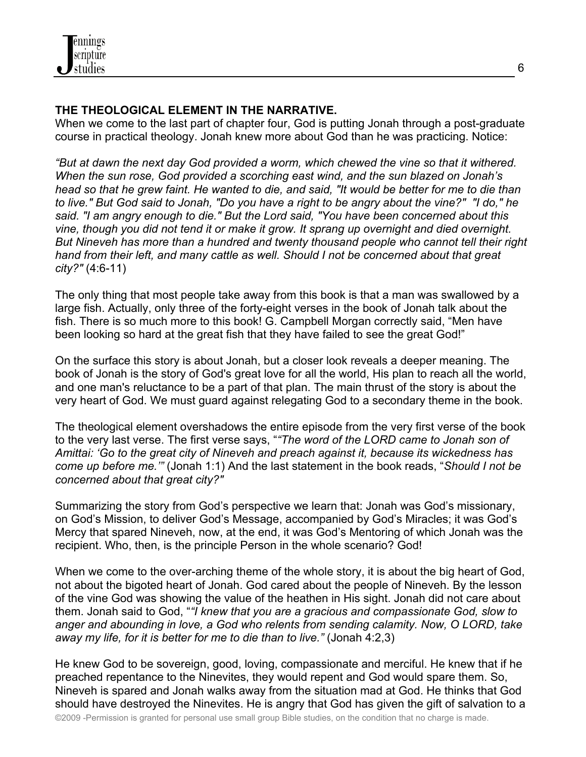

#### **THE THEOLOGICAL ELEMENT IN THE NARRATIVE.**

When we come to the last part of chapter four, God is putting Jonah through a post-graduate course in practical theology. Jonah knew more about God than he was practicing. Notice:

*"But at dawn the next day God provided a worm, which chewed the vine so that it withered. When the sun rose, God provided a scorching east wind, and the sun blazed on Jonah's head so that he grew faint. He wanted to die, and said, "It would be better for me to die than to live." But God said to Jonah, "Do you have a right to be angry about the vine?" "I do," he said. "I am angry enough to die." But the Lord said, "You have been concerned about this vine, though you did not tend it or make it grow. It sprang up overnight and died overnight. But Nineveh has more than a hundred and twenty thousand people who cannot tell their right hand from their left, and many cattle as well. Should I not be concerned about that great city?"* (4:6-11)

The only thing that most people take away from this book is that a man was swallowed by a large fish. Actually, only three of the forty-eight verses in the book of Jonah talk about the fish. There is so much more to this book! G. Campbell Morgan correctly said, "Men have been looking so hard at the great fish that they have failed to see the great God!"

On the surface this story is about Jonah, but a closer look reveals a deeper meaning. The book of Jonah is the story of God's great love for all the world, His plan to reach all the world, and one man's reluctance to be a part of that plan. The main thrust of the story is about the very heart of God. We must guard against relegating God to a secondary theme in the book.

The theological element overshadows the entire episode from the very first verse of the book to the very last verse. The first verse says, "*"The word of the LORD came to Jonah son of Amittai: 'Go to the great city of Nineveh and preach against it, because its wickedness has come up before me.'"* (Jonah 1:1) And the last statement in the book reads, "*Should I not be concerned about that great city?"*

Summarizing the story from God's perspective we learn that: Jonah was God's missionary, on God's Mission, to deliver God's Message, accompanied by God's Miracles; it was God's Mercy that spared Nineveh, now, at the end, it was God's Mentoring of which Jonah was the recipient. Who, then, is the principle Person in the whole scenario? God!

When we come to the over-arching theme of the whole story, it is about the big heart of God, not about the bigoted heart of Jonah. God cared about the people of Nineveh. By the lesson of the vine God was showing the value of the heathen in His sight. Jonah did not care about them. Jonah said to God, "*"I knew that you are a gracious and compassionate God, slow to anger and abounding in love, a God who relents from sending calamity. Now, O LORD, take away my life, for it is better for me to die than to live."* (Jonah 4:2,3)

He knew God to be sovereign, good, loving, compassionate and merciful. He knew that if he preached repentance to the Ninevites, they would repent and God would spare them. So, Nineveh is spared and Jonah walks away from the situation mad at God. He thinks that God should have destroyed the Ninevites. He is angry that God has given the gift of salvation to a